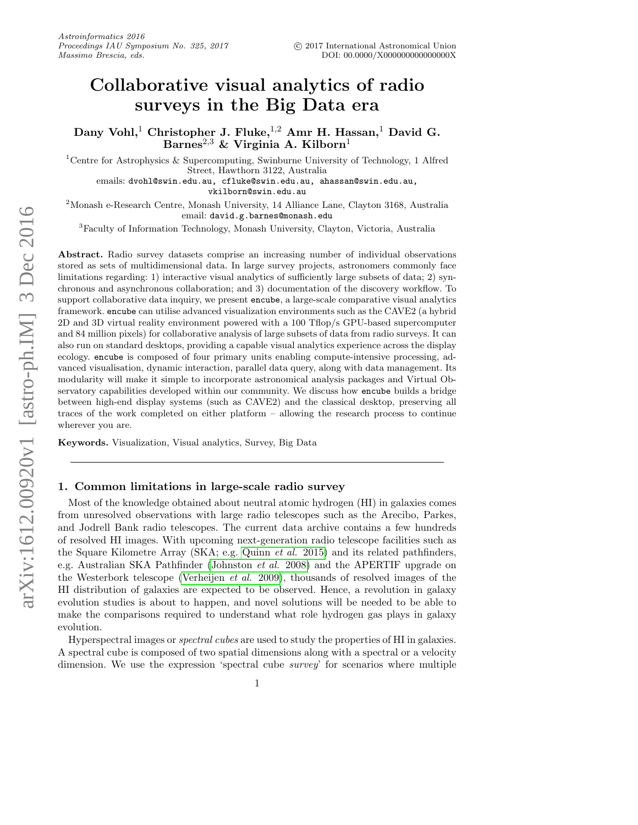# Collaborative visual analytics of radio surveys in the Big Data era

Dany Vohl,<sup>1</sup> Christopher J. Fluke,<sup>1,2</sup> Amr H. Hassan,<sup>1</sup> David G. Barnes<sup>2,3</sup> & Virginia A. Kilborn<sup>1</sup>

<sup>1</sup>Centre for Astrophysics & Supercomputing, Swinburne University of Technology, 1 Alfred Street, Hawthorn 3122, Australia

emails: dvohl@swin.edu.au, cfluke@swin.edu.au, ahassan@swin.edu.au, vkilborn@swin.edu.au

<sup>2</sup>Monash e-Research Centre, Monash University, 14 Alliance Lane, Clayton 3168, Australia email: david.g.barnes@monash.edu

<sup>3</sup>Faculty of Information Technology, Monash University, Clayton, Victoria, Australia

Abstract. Radio survey datasets comprise an increasing number of individual observations stored as sets of multidimensional data. In large survey projects, astronomers commonly face limitations regarding: 1) interactive visual analytics of sufficiently large subsets of data; 2) synchronous and asynchronous collaboration; and 3) documentation of the discovery workflow. To support collaborative data inquiry, we present encube, a large-scale comparative visual analytics framework. encube can utilise advanced visualization environments such as the CAVE2 (a hybrid 2D and 3D virtual reality environment powered with a 100 Tflop/s GPU-based supercomputer and 84 million pixels) for collaborative analysis of large subsets of data from radio surveys. It can also run on standard desktops, providing a capable visual analytics experience across the display ecology. encube is composed of four primary units enabling compute-intensive processing, advanced visualisation, dynamic interaction, parallel data query, along with data management. Its modularity will make it simple to incorporate astronomical analysis packages and Virtual Observatory capabilities developed within our community. We discuss how encube builds a bridge between high-end display systems (such as CAVE2) and the classical desktop, preserving all traces of the work completed on either platform – allowing the research process to continue wherever you are.

Keywords. Visualization, Visual analytics, Survey, Big Data

## 1. Common limitations in large-scale radio survey

Most of the knowledge obtained about neutral atomic hydrogen (HI) in galaxies comes from unresolved observations with large radio telescopes such as the Arecibo, Parkes, and Jodrell Bank radio telescopes. The current data archive contains a few hundreds of resolved HI images. With upcoming next-generation radio telescope facilities such as the Square Kilometre Array (SKA; e.g. [Quinn](#page-4-0) et al. 2015) and its related pathfinders, e.g. Australian SKA Pathfinder [\(Johnston](#page-4-1) et al. 2008) and the APERTIF upgrade on the Westerbork telescope [\(Verheijen](#page-4-2)  $et al. 2009$ ), thousands of resolved images of the HI distribution of galaxies are expected to be observed. Hence, a revolution in galaxy evolution studies is about to happen, and novel solutions will be needed to be able to make the comparisons required to understand what role hydrogen gas plays in galaxy evolution.

Hyperspectral images or spectral cubes are used to study the properties of HI in galaxies. A spectral cube is composed of two spatial dimensions along with a spectral or a velocity dimension. We use the expression 'spectral cube survey' for scenarios where multiple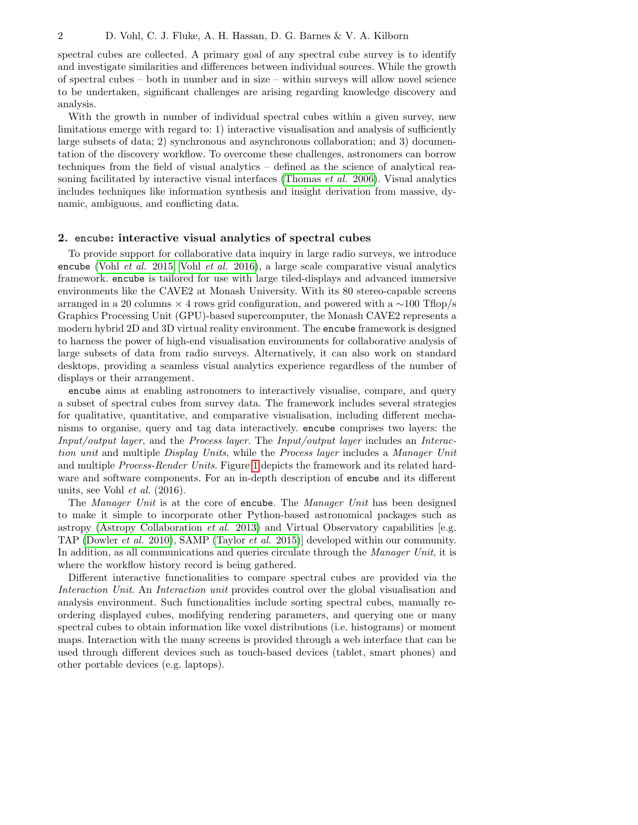spectral cubes are collected. A primary goal of any spectral cube survey is to identify and investigate similarities and differences between individual sources. While the growth of spectral cubes – both in number and in size – within surveys will allow novel science to be undertaken, significant challenges are arising regarding knowledge discovery and analysis.

With the growth in number of individual spectral cubes within a given survey, new limitations emerge with regard to: 1) interactive visualisation and analysis of sufficiently large subsets of data; 2) synchronous and asynchronous collaboration; and 3) documentation of the discovery workflow. To overcome these challenges, astronomers can borrow techniques from the field of visual analytics – defined as the science of analytical reasoning facilitated by interactive visual interfaces [\(Thomas](#page-4-3) et al. 2006). Visual analytics includes techniques like information synthesis and insight derivation from massive, dynamic, ambiguous, and conflicting data.

## 2. encube: interactive visual analytics of spectral cubes

To provide support for collaborative data inquiry in large radio surveys, we introduce encube (Vohl *[et al.](#page-4-5)* 2015, Vohl *et al.* 2016), a large scale comparative visual analytics framework. encube is tailored for use with large tiled-displays and advanced immersive environments like the CAVE2 at Monash University. With its 80 stereo-capable screens arranged in a 20 columns  $\times$  4 rows grid configuration, and powered with a ∼100 Tflop/s Graphics Processing Unit (GPU)-based supercomputer, the Monash CAVE2 represents a modern hybrid 2D and 3D virtual reality environment. The encube framework is designed to harness the power of high-end visualisation environments for collaborative analysis of large subsets of data from radio surveys. Alternatively, it can also work on standard desktops, providing a seamless visual analytics experience regardless of the number of displays or their arrangement.

encube aims at enabling astronomers to interactively visualise, compare, and query a subset of spectral cubes from survey data. The framework includes several strategies for qualitative, quantitative, and comparative visualisation, including different mechanisms to organise, query and tag data interactively. encube comprises two layers: the Input/output layer, and the Process layer. The Input/output layer includes an Interaction unit and multiple Display Units, while the Process layer includes a Manager Unit and multiple Process-Render Units. Figure [1](#page-2-0) depicts the framework and its related hardware and software components. For an in-depth description of encube and its different units, see Vohl et al. (2016).

The Manager Unit is at the core of encube. The Manager Unit has been designed to make it simple to incorporate other Python-based astronomical packages such as astropy [\(Astropy Collaboration](#page-4-6) *et al.* 2013) and Virtual Observatory capabilities [e.g. TAP [\(Dowler](#page-4-7) et al. 2010), SAMP [\(Taylor](#page-4-8) et al. 2015)] developed within our community. In addition, as all communications and queries circulate through the *Manager Unit*, it is where the workflow history record is being gathered.

Different interactive functionalities to compare spectral cubes are provided via the Interaction Unit. An Interaction unit provides control over the global visualisation and analysis environment. Such functionalities include sorting spectral cubes, manually reordering displayed cubes, modifying rendering parameters, and querying one or many spectral cubes to obtain information like voxel distributions (i.e. histograms) or moment maps. Interaction with the many screens is provided through a web interface that can be used through different devices such as touch-based devices (tablet, smart phones) and other portable devices (e.g. laptops).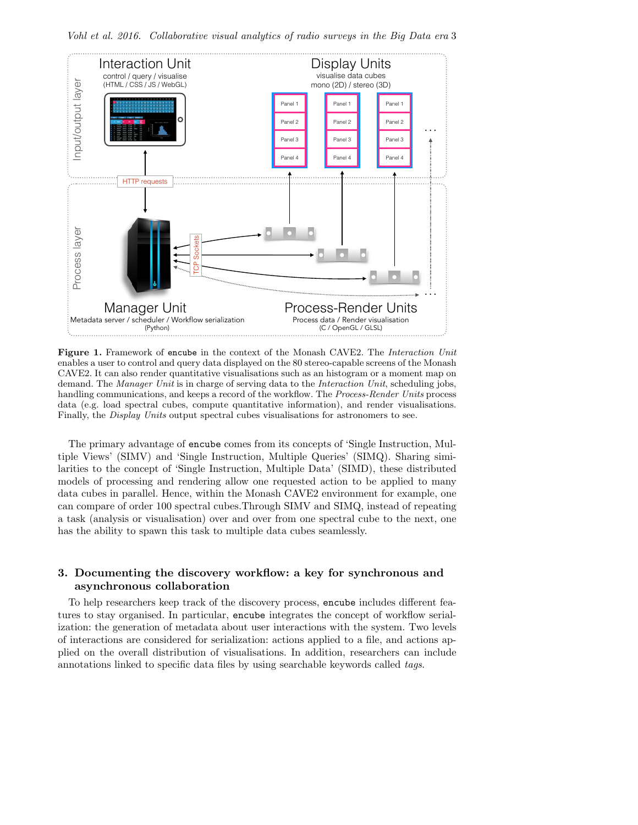Vohl et al. 2016. Collaborative visual analytics of radio surveys in the Big Data era 3



<span id="page-2-0"></span>Figure 1. Framework of encube in the context of the Monash CAVE2. The Interaction Unit enables a user to control and query data displayed on the 80 stereo-capable screens of the Monash CAVE2. It can also render quantitative visualisations such as an histogram or a moment map on demand. The *Manager Unit* is in charge of serving data to the *Interaction Unit*, scheduling jobs, handling communications, and keeps a record of the workflow. The Process-Render Units process data (e.g. load spectral cubes, compute quantitative information), and render visualisations. Finally, the Display Units output spectral cubes visualisations for astronomers to see.

The primary advantage of encube comes from its concepts of 'Single Instruction, Multiple Views' (SIMV) and 'Single Instruction, Multiple Queries' (SIMQ). Sharing similarities to the concept of 'Single Instruction, Multiple Data' (SIMD), these distributed models of processing and rendering allow one requested action to be applied to many data cubes in parallel. Hence, within the Monash CAVE2 environment for example, one can compare of order 100 spectral cubes.Through SIMV and SIMQ, instead of repeating a task (analysis or visualisation) over and over from one spectral cube to the next, one has the ability to spawn this task to multiple data cubes seamlessly.

## 3. Documenting the discovery workflow: a key for synchronous and asynchronous collaboration

To help researchers keep track of the discovery process, encube includes different features to stay organised. In particular, encube integrates the concept of workflow serialization: the generation of metadata about user interactions with the system. Two levels of interactions are considered for serialization: actions applied to a file, and actions applied on the overall distribution of visualisations. In addition, researchers can include annotations linked to specific data files by using searchable keywords called tags.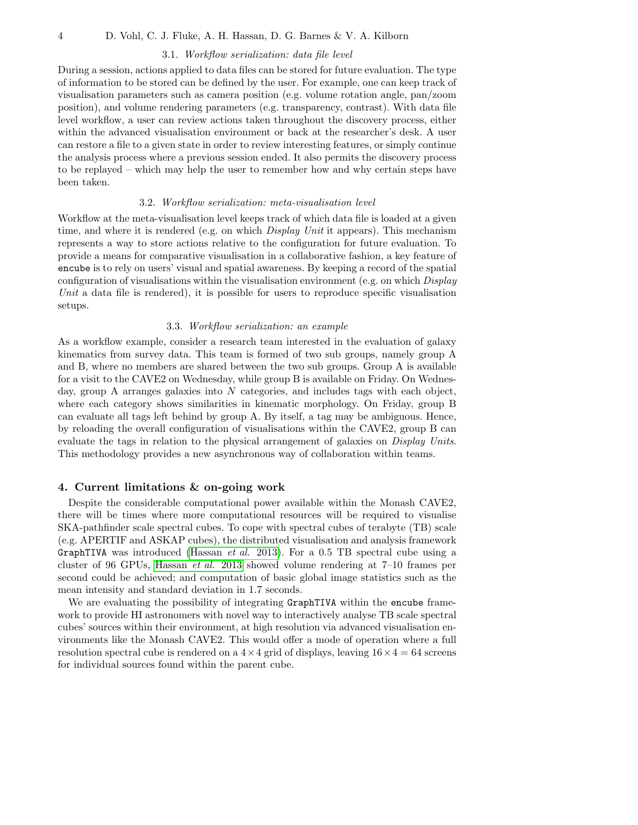## 4 D. Vohl, C. J. Fluke, A. H. Hassan, D. G. Barnes & V. A. Kilborn

## 3.1. Workflow serialization: data file level

During a session, actions applied to data files can be stored for future evaluation. The type of information to be stored can be defined by the user. For example, one can keep track of visualisation parameters such as camera position (e.g. volume rotation angle, pan/zoom position), and volume rendering parameters (e.g. transparency, contrast). With data file level workflow, a user can review actions taken throughout the discovery process, either within the advanced visualisation environment or back at the researcher's desk. A user can restore a file to a given state in order to review interesting features, or simply continue the analysis process where a previous session ended. It also permits the discovery process to be replayed – which may help the user to remember how and why certain steps have been taken.

#### 3.2. Workflow serialization: meta-visualisation level

Workflow at the meta-visualisation level keeps track of which data file is loaded at a given time, and where it is rendered (e.g. on which *Display Unit* it appears). This mechanism represents a way to store actions relative to the configuration for future evaluation. To provide a means for comparative visualisation in a collaborative fashion, a key feature of encube is to rely on users' visual and spatial awareness. By keeping a record of the spatial configuration of visualisations within the visualisation environment (e.g. on which Display Unit a data file is rendered), it is possible for users to reproduce specific visualisation setups.

## 3.3. Workflow serialization: an example

As a workflow example, consider a research team interested in the evaluation of galaxy kinematics from survey data. This team is formed of two sub groups, namely group A and B, where no members are shared between the two sub groups. Group A is available for a visit to the CAVE2 on Wednesday, while group B is available on Friday. On Wednesday, group A arranges galaxies into  $N$  categories, and includes tags with each object, where each category shows similarities in kinematic morphology. On Friday, group B can evaluate all tags left behind by group A. By itself, a tag may be ambiguous. Hence, by reloading the overall configuration of visualisations within the CAVE2, group B can evaluate the tags in relation to the physical arrangement of galaxies on *Display Units*. This methodology provides a new asynchronous way of collaboration within teams.

## 4. Current limitations & on-going work

Despite the considerable computational power available within the Monash CAVE2, there will be times where more computational resources will be required to visualise SKA-pathfinder scale spectral cubes. To cope with spectral cubes of terabyte (TB) scale (e.g. APERTIF and ASKAP cubes), the distributed visualisation and analysis framework GraphTIVA was introduced [\(Hassan](#page-4-9) *et al.* 2013). For a 0.5 TB spectral cube using a cluster of 96 GPUs, [Hassan](#page-4-9) *et al.* 2013 showed volume rendering at  $7-10$  frames per second could be achieved; and computation of basic global image statistics such as the mean intensity and standard deviation in 1.7 seconds.

We are evaluating the possibility of integrating GraphTIVA within the encube framework to provide HI astronomers with novel way to interactively analyse TB scale spectral cubes' sources within their environment, at high resolution via advanced visualisation environments like the Monash CAVE2. This would offer a mode of operation where a full resolution spectral cube is rendered on a  $4 \times 4$  grid of displays, leaving  $16 \times 4 = 64$  screens for individual sources found within the parent cube.